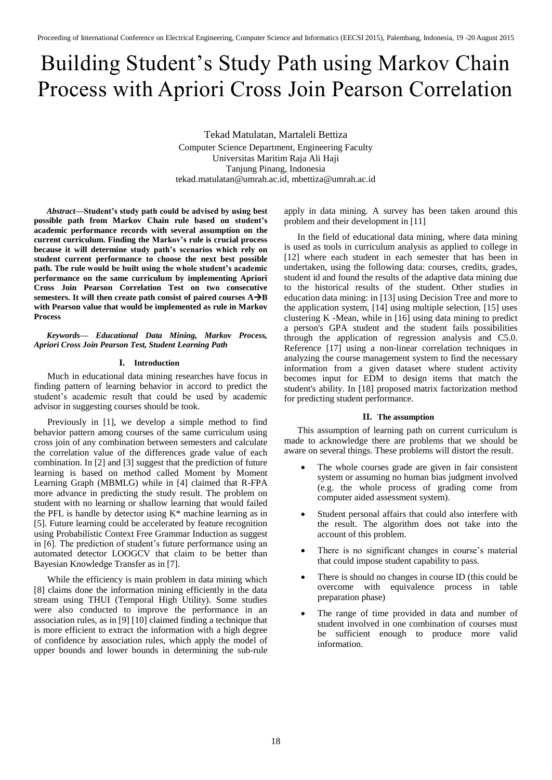# Building Student's Study Path using Markov Chain Process with Apriori Cross Join Pearson Correlation

Tekad Matulatan, Martaleli Bettiza Computer Science Department, Engineering Faculty Universitas Maritim Raja Ali Haji Tanjung Pinang, Indonesia tekad.matulatan@umrah.ac.id, mbettiza@umrah.ac.id

*Abstract***—Student's study path could be advised by using best possible path from Markov Chain rule based on student's academic performance records with several assumption on the current curriculum. Finding the Markov's rule is crucial process because it will determine study path's scenarios which rely on student current performance to choose the next best possible path. The rule would be built using the whole student's academic performance on the same curriculum by implementing Apriori Cross Join Pearson Correlation Test on two consecutive semesters. It will then create path consist of paired courses AB with Pearson value that would be implemented as rule in Markov Process**

*Keywords— Educational Data Mining, Markov Process, Apriori Cross Join Pearson Test, Student Learning Path*

## **I. Introduction**

Much in educational data mining researches have focus in finding pattern of learning behavior in accord to predict the student's academic result that could be used by academic advisor in suggesting courses should be took.

Previously in [1], we develop a simple method to find behavior pattern among courses of the same curriculum using cross join of any combination between semesters and calculate the correlation value of the differences grade value of each combination. In [2] and [3] suggest that the prediction of future learning is based on method called Moment by Moment Learning Graph (MBMLG) while in [4] claimed that R-FPA more advance in predicting the study result. The problem on student with no learning or shallow learning that would failed the PFL is handle by detector using  $K^*$  machine learning as in [5]. Future learning could be accelerated by feature recognition using Probabilistic Context Free Grammar Induction as suggest in [6]. The prediction of student's future performance using an automated detector LOOGCV that claim to be better than Bayesian Knowledge Transfer as in [7].

While the efficiency is main problem in data mining which [8] claims done the information mining efficiently in the data stream using THUI (Temporal High Utility). Some studies were also conducted to improve the performance in an association rules, as in [9] [10] claimed finding a technique that is more efficient to extract the information with a high degree of confidence by association rules, which apply the model of upper bounds and lower bounds in determining the sub-rule apply in data mining. A survey has been taken around this problem and their development in [11]

In the field of educational data mining, where data mining is used as tools in curriculum analysis as applied to college in [12] where each student in each semester that has been in undertaken, using the following data: courses, credits, grades, student id and found the results of the adaptive data mining due to the historical results of the student. Other studies in education data mining: in [13] using Decision Tree and more to the application system, [14] using multiple selection, [15] uses clustering K -Mean, while in [16] using data mining to predict a person's GPA student and the student fails possibilities through the application of regression analysis and C5.0. Reference [17] using a non-linear correlation techniques in analyzing the course management system to find the necessary information from a given dataset where student activity becomes input for EDM to design items that match the student's ability. In [18] proposed matrix factorization method for predicting student performance.

#### **II. The assumption**

This assumption of learning path on current curriculum is made to acknowledge there are problems that we should be aware on several things. These problems will distort the result.

- The whole courses grade are given in fair consistent system or assuming no human bias judgment involved (e.g. the whole process of grading come from computer aided assessment system).
- Student personal affairs that could also interfere with the result. The algorithm does not take into the account of this problem.
- There is no significant changes in course's material that could impose student capability to pass.
- There is should no changes in course ID (this could be overcome with equivalence process in table preparation phase)
- The range of time provided in data and number of student involved in one combination of courses must be sufficient enough to produce more valid information.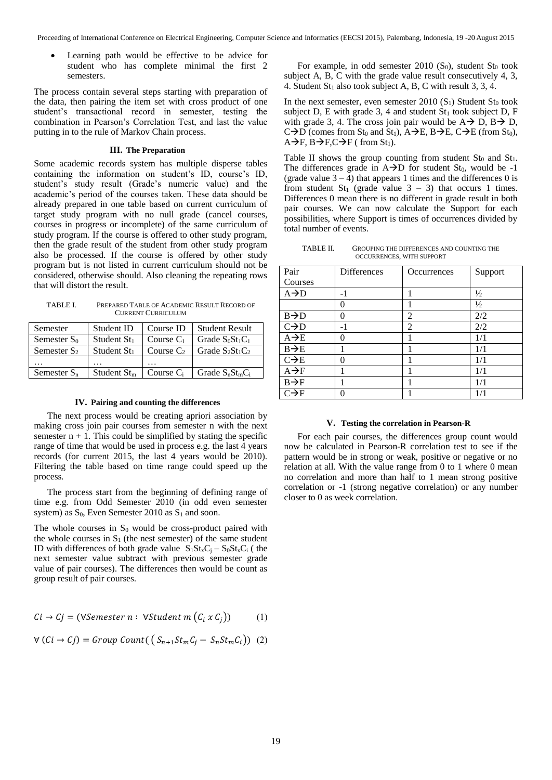Learning path would be effective to be advice for student who has complete minimal the first 2 semesters.

The process contain several steps starting with preparation of the data, then pairing the item set with cross product of one student's transactional record in semester, testing the combination in Pearson's Correlation Test, and last the value putting in to the rule of Markov Chain process.

### **III. The Preparation**

Some academic records system has multiple disperse tables containing the information on student's ID, course's ID, student's study result (Grade's numeric value) and the academic's period of the courses taken. These data should be already prepared in one table based on current curriculum of target study program with no null grade (cancel courses, courses in progress or incomplete) of the same curriculum of study program. If the course is offered to other study program, then the grade result of the student from other study program also be processed. If the course is offered by other study program but is not listed in current curriculum should not be considered, otherwise should. Also cleaning the repeating rows that will distort the result.

TABLE I. PREPARED TABLE OF ACADEMIC RESULT RECORD OF CURRENT CURRICULUM

| Semester       | Student ID     | Course ID    | <b>Student Result</b> |
|----------------|----------------|--------------|-----------------------|
| Semester $S_0$ | Student $St_1$ | Course $C_1$ | Grade $S_0St_1C_1$    |
| Semester $S_2$ | Student $St_1$ | Course $C_2$ | Grade $S_2St_1C_2$    |
|                | $\ddotsc$      | .            |                       |
| Semester $S_n$ | Student $Stm$  | Course $C_i$ | Grade $S_nSt_mC_i$    |

#### **IV. Pairing and counting the differences**

The next process would be creating apriori association by making cross join pair courses from semester n with the next semester  $n + 1$ . This could be simplified by stating the specific range of time that would be used in process e.g. the last 4 years records (for current 2015, the last 4 years would be 2010). Filtering the table based on time range could speed up the process.

The process start from the beginning of defining range of time e.g. from Odd Semester 2010 (in odd even semester system) as  $S_0$ , Even Semester 2010 as  $S_1$  and soon.

The whole courses in  $S_0$  would be cross-product paired with the whole courses in  $S_1$  (the nest semester) of the same student ID with differences of both grade value  $S_1St_xC_i - S_0St_xC_i$  (the next semester value subtract with previous semester grade value of pair courses). The differences then would be count as group result of pair courses.

$$
Ci \rightarrow Cj = (\forall Semester \ n : \ \forall Student \ m \ (C_i \ x \ C_j))
$$
 (1)

$$
\forall (Ci \rightarrow Cj) = Group Count((S_{n+1}St_mC_j - S_nSt_mC_i)) (2)
$$

For example, in odd semester  $2010$  (S<sub>0</sub>), student St<sub>0</sub> took subject A, B, C with the grade value result consecutively 4, 3, 4. Student  $St_1$  also took subject A, B, C with result 3, 3, 4.

In the next semester, even semester  $2010 (S_1)$  Student  $St_0$  took subject D, E with grade 3, 4 and student  $St_1$  took subject D, F with grade 3, 4. The cross join pair would be  $A \rightarrow D$ ,  $B \rightarrow D$ ,  $C\rightarrow D$  (comes from St<sub>0</sub> and St<sub>1</sub>),  $A\rightarrow E$ ,  $B\rightarrow E$ ,  $C\rightarrow E$  (from St<sub>0</sub>),  $A\rightarrow F$ ,  $B\rightarrow F$ ,  $C\rightarrow F$  ( from  $St_1$ ).

Table II shows the group counting from student  $St_0$  and  $St_1$ . The differences grade in  $A \rightarrow D$  for student St<sub>0</sub>, would be -1 (grade value  $3 - 4$ ) that appears 1 times and the differences 0 is from student St<sub>1</sub> (grade value  $3 - 3$ ) that occurs 1 times. Differences 0 mean there is no different in grade result in both pair courses. We can now calculate the Support for each possibilities, where Support is times of occurrences divided by total number of events.

TABLE II. GROUPING THE DIFFERENCES AND COUNTING THE OCCURRENCES, WITH SUPPORT

| Pair             | Differences | Occurrences    | Support       |
|------------------|-------------|----------------|---------------|
| Courses          |             |                |               |
| $A\rightarrow D$ | $-1$        |                | $\frac{1}{2}$ |
|                  | 0           |                | $\frac{1}{2}$ |
| $B\rightarrow D$ | 0           | 2              | 2/2           |
| $C\rightarrow D$ | -1          | $\overline{2}$ | 2/2           |
| $A\rightarrow E$ | 0           |                | 1/1           |
| $B\rightarrow E$ |             |                | 1/1           |
| $C\rightarrow E$ | 0           |                | 1/1           |
| $A\rightarrow F$ |             |                | 1/1           |
| $B\rightarrow F$ |             |                | 1/1           |
| $C\rightarrow F$ |             |                | 1/1           |

#### **V. Testing the correlation in Pearson-R**

For each pair courses, the differences group count would now be calculated in Pearson-R correlation test to see if the pattern would be in strong or weak, positive or negative or no relation at all. With the value range from 0 to 1 where 0 mean no correlation and more than half to 1 mean strong positive correlation or -1 (strong negative correlation) or any number closer to 0 as week correlation.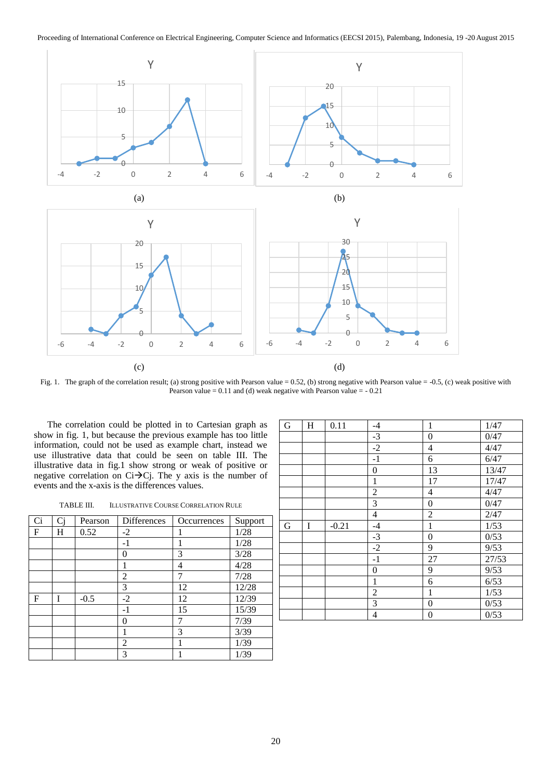

Fig. 1. The graph of the correlation result; (a) strong positive with Pearson value = 0.52, (b) strong negative with Pearson value = -0.5, (c) weak positive with Pearson value =  $0.11$  and (d) weak negative with Pearson value =  $-0.21$ 

The correlation could be plotted in to Cartesian graph as show in fig. 1, but because the previous example has too little information, could not be used as example chart, instead we use illustrative data that could be seen on table III. The illustrative data in fig.1 show strong or weak of positive or negative correlation on  $Ci\rightarrow Cj$ . The y axis is the number of events and the x-axis is the differences values.

TABLE III. ILLUSTRATIVE COURSE CORRELATION RULE

| Ci<br>Ci<br><b>Differences</b><br>Pearson<br>Support<br><b>Occurrences</b><br>1/28<br>0.52<br>F<br>H<br>$-2$<br>1/28<br>$-1$<br>3<br>3/28<br>0<br>4/28<br>4<br>7/28<br>7<br>2<br>3<br>12/28<br>12<br>12/39<br>$-0.5$<br>$-2$<br>12<br>F<br>15/39<br>15<br>-1<br>7/39<br>7<br>0<br>3/39<br>3<br>1/39<br>2<br>1<br>3<br>1/39 |  |  |  |
|----------------------------------------------------------------------------------------------------------------------------------------------------------------------------------------------------------------------------------------------------------------------------------------------------------------------------|--|--|--|
|                                                                                                                                                                                                                                                                                                                            |  |  |  |
|                                                                                                                                                                                                                                                                                                                            |  |  |  |
|                                                                                                                                                                                                                                                                                                                            |  |  |  |
|                                                                                                                                                                                                                                                                                                                            |  |  |  |
|                                                                                                                                                                                                                                                                                                                            |  |  |  |
|                                                                                                                                                                                                                                                                                                                            |  |  |  |
|                                                                                                                                                                                                                                                                                                                            |  |  |  |
|                                                                                                                                                                                                                                                                                                                            |  |  |  |
|                                                                                                                                                                                                                                                                                                                            |  |  |  |
|                                                                                                                                                                                                                                                                                                                            |  |  |  |
|                                                                                                                                                                                                                                                                                                                            |  |  |  |
|                                                                                                                                                                                                                                                                                                                            |  |  |  |
|                                                                                                                                                                                                                                                                                                                            |  |  |  |

| G           | H | 0.11    | $-4$             | 1                | 1/47  |
|-------------|---|---------|------------------|------------------|-------|
|             |   |         | $-3$             | $\boldsymbol{0}$ | 0/47  |
|             |   |         | $-2$             | 4                | 4/47  |
|             |   |         | $-1$             | 6                | 6/47  |
|             |   |         | $\boldsymbol{0}$ | 13               | 13/47 |
|             |   |         | 1                | 17               | 17/47 |
|             |   |         | $\overline{2}$   | 4                | 4/47  |
|             |   |         | 3                | $\boldsymbol{0}$ | 0/47  |
|             |   |         | 4                | $\overline{2}$   | 2/47  |
|             |   |         |                  |                  |       |
| $\mathbf G$ | I | $-0.21$ | $-4$             | $\mathbf{1}$     | 1/53  |
|             |   |         | $-3$             | $\boldsymbol{0}$ | 0/53  |
|             |   |         | $-2$             | 9                | 9/53  |
|             |   |         | $-1$             | 27               | 27/53 |
|             |   |         | $\boldsymbol{0}$ | 9                | 9/53  |
|             |   |         | $\mathbf{1}$     | 6                | 6/53  |
|             |   |         | 2                | 1                | 1/53  |
|             |   |         | 3                | $\boldsymbol{0}$ | 0/53  |